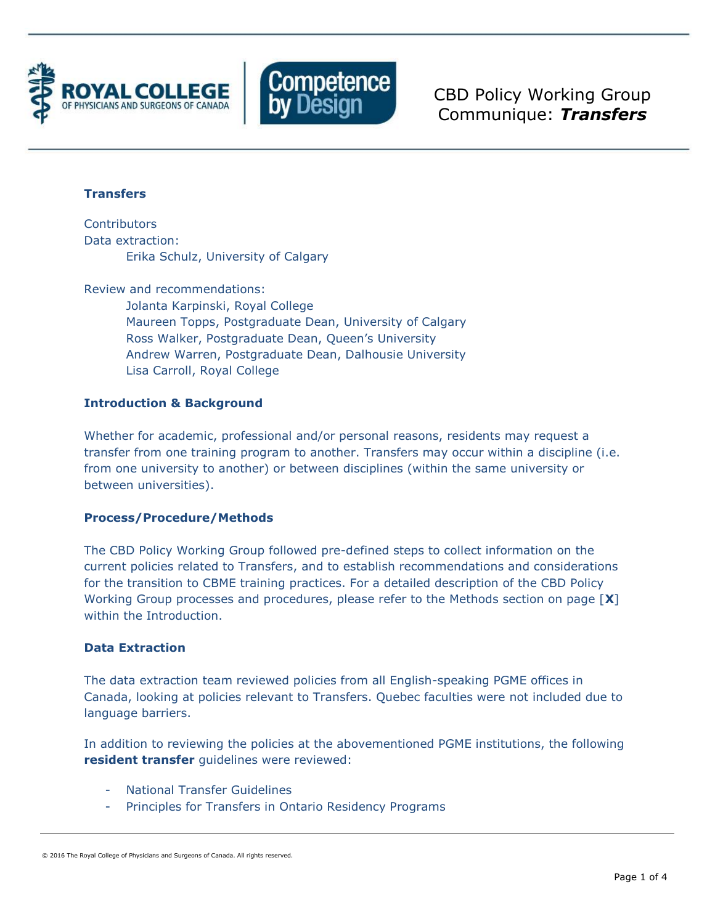



CBD Policy Working Group Communique: *Transfers*

# **Transfers**

**Contributors** Data extraction: Erika Schulz, University of Calgary

Review and recommendations: Jolanta Karpinski, Royal College Maureen Topps, Postgraduate Dean, University of Calgary Ross Walker, Postgraduate Dean, Queen's University Andrew Warren, Postgraduate Dean, Dalhousie University Lisa Carroll, Royal College

# **Introduction & Background**

Whether for academic, professional and/or personal reasons, residents may request a transfer from one training program to another. Transfers may occur within a discipline (i.e. from one university to another) or between disciplines (within the same university or between universities).

## **Process/Procedure/Methods**

The CBD Policy Working Group followed pre-defined steps to collect information on the current policies related to Transfers, and to establish recommendations and considerations for the transition to CBME training practices. For a detailed description of the CBD Policy Working Group processes and procedures, please refer to the Methods section on page [**X**] within the Introduction.

## **Data Extraction**

The data extraction team reviewed policies from all English-speaking PGME offices in Canada, looking at policies relevant to Transfers. Quebec faculties were not included due to language barriers.

In addition to reviewing the policies at the abovementioned PGME institutions, the following **resident transfer** guidelines were reviewed:

- **National Transfer Guidelines**
- Principles for Transfers in Ontario Residency Programs

<sup>© 2016</sup> The Royal College of Physicians and Surgeons of Canada. All rights reserved.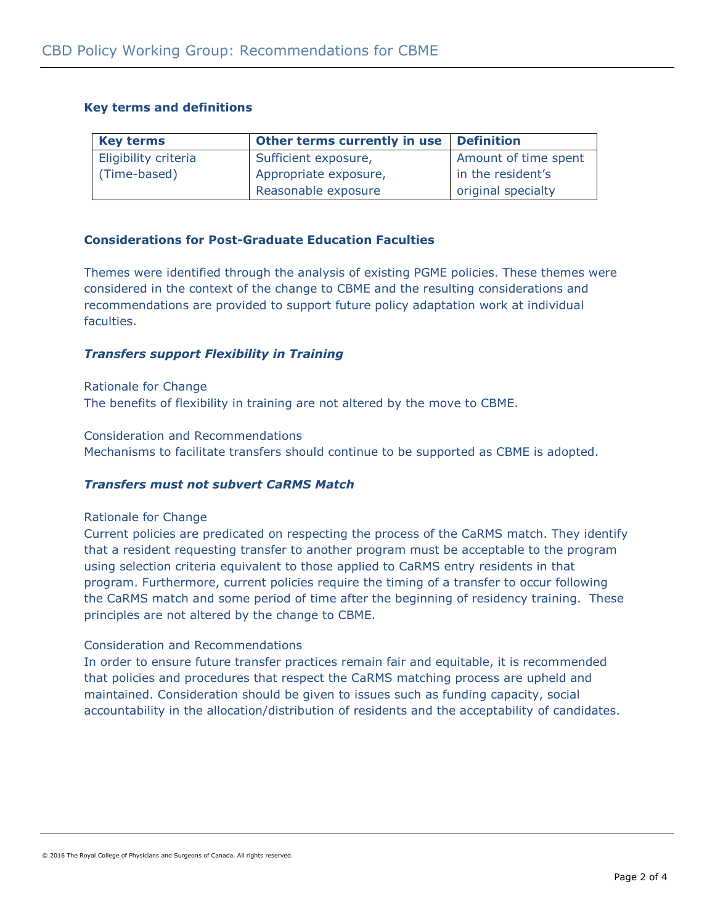## **Key terms and definitions**

| <b>Key terms</b>     | Other terms currently in use | <b>Definition</b>    |
|----------------------|------------------------------|----------------------|
| Eligibility criteria | Sufficient exposure,         | Amount of time spent |
| (Time-based)         | Appropriate exposure,        | in the resident's    |
|                      | Reasonable exposure          | original specialty   |

## **Considerations for Post-Graduate Education Faculties**

Themes were identified through the analysis of existing PGME policies. These themes were considered in the context of the change to CBME and the resulting considerations and recommendations are provided to support future policy adaptation work at individual faculties.

## *Transfers support Flexibility in Training*

Rationale for Change The benefits of flexibility in training are not altered by the move to CBME.

Consideration and Recommendations Mechanisms to facilitate transfers should continue to be supported as CBME is adopted.

# *Transfers must not subvert CaRMS Match*

## Rationale for Change

Current policies are predicated on respecting the process of the CaRMS match. They identify that a resident requesting transfer to another program must be acceptable to the program using selection criteria equivalent to those applied to CaRMS entry residents in that program. Furthermore, current policies require the timing of a transfer to occur following the CaRMS match and some period of time after the beginning of residency training. These principles are not altered by the change to CBME.

## Consideration and Recommendations

In order to ensure future transfer practices remain fair and equitable, it is recommended that policies and procedures that respect the CaRMS matching process are upheld and maintained. Consideration should be given to issues such as funding capacity, social accountability in the allocation/distribution of residents and the acceptability of candidates.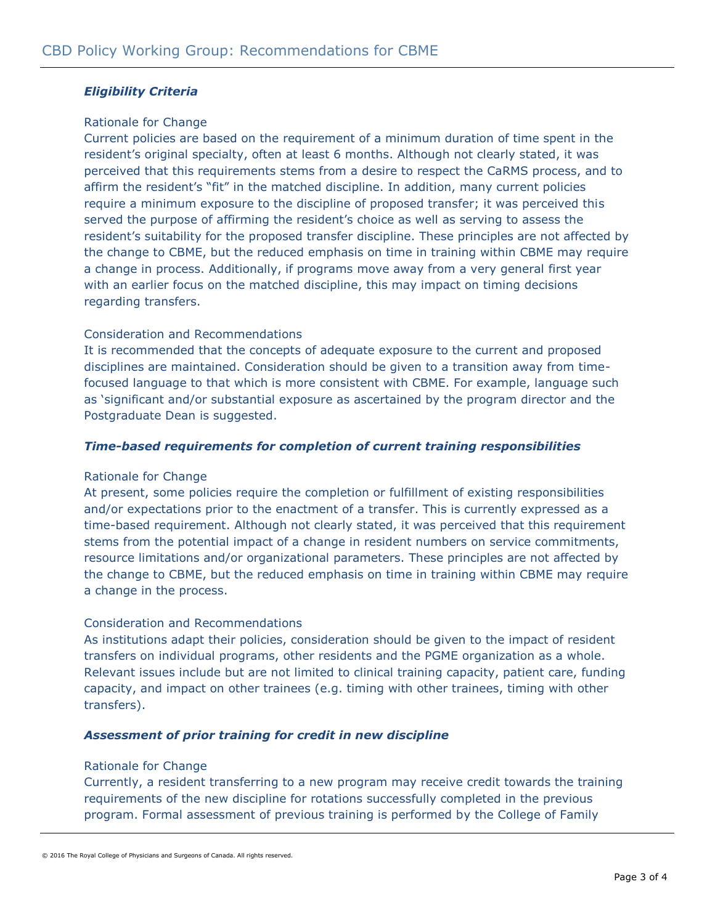## *Eligibility Criteria*

#### Rationale for Change

Current policies are based on the requirement of a minimum duration of time spent in the resident's original specialty, often at least 6 months. Although not clearly stated, it was perceived that this requirements stems from a desire to respect the CaRMS process, and to affirm the resident's "fit" in the matched discipline. In addition, many current policies require a minimum exposure to the discipline of proposed transfer; it was perceived this served the purpose of affirming the resident's choice as well as serving to assess the resident's suitability for the proposed transfer discipline. These principles are not affected by the change to CBME, but the reduced emphasis on time in training within CBME may require a change in process. Additionally, if programs move away from a very general first year with an earlier focus on the matched discipline, this may impact on timing decisions regarding transfers.

## Consideration and Recommendations

It is recommended that the concepts of adequate exposure to the current and proposed disciplines are maintained. Consideration should be given to a transition away from timefocused language to that which is more consistent with CBME. For example, language such as 'significant and/or substantial exposure as ascertained by the program director and the Postgraduate Dean is suggested.

#### *Time-based requirements for completion of current training responsibilities*

#### Rationale for Change

At present, some policies require the completion or fulfillment of existing responsibilities and/or expectations prior to the enactment of a transfer. This is currently expressed as a time-based requirement. Although not clearly stated, it was perceived that this requirement stems from the potential impact of a change in resident numbers on service commitments, resource limitations and/or organizational parameters. These principles are not affected by the change to CBME, but the reduced emphasis on time in training within CBME may require a change in the process.

#### Consideration and Recommendations

As institutions adapt their policies, consideration should be given to the impact of resident transfers on individual programs, other residents and the PGME organization as a whole. Relevant issues include but are not limited to clinical training capacity, patient care, funding capacity, and impact on other trainees (e.g. timing with other trainees, timing with other transfers).

## *Assessment of prior training for credit in new discipline*

#### Rationale for Change

Currently, a resident transferring to a new program may receive credit towards the training requirements of the new discipline for rotations successfully completed in the previous program. Formal assessment of previous training is performed by the College of Family